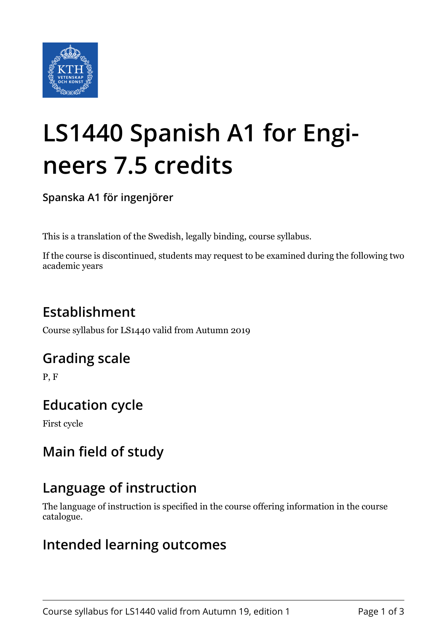

# **LS1440 Spanish A1 for Engineers 7.5 credits**

**Spanska A1 för ingenjörer**

This is a translation of the Swedish, legally binding, course syllabus.

If the course is discontinued, students may request to be examined during the following two academic years

## **Establishment**

Course syllabus for LS1440 valid from Autumn 2019

#### **Grading scale**

P, F

## **Education cycle**

First cycle

## **Main field of study**

## **Language of instruction**

The language of instruction is specified in the course offering information in the course catalogue.

#### **Intended learning outcomes**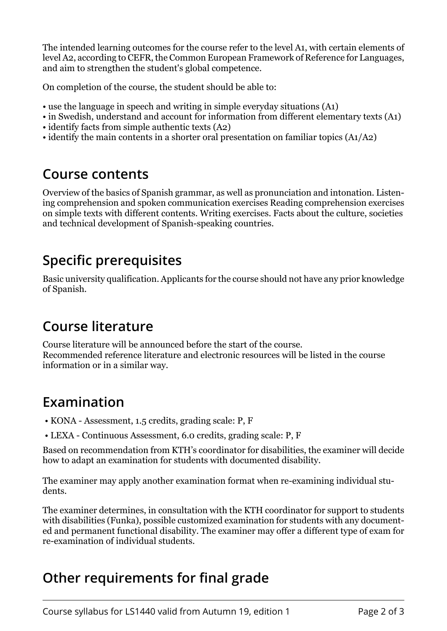The intended learning outcomes for the course refer to the level A1, with certain elements of level A2, according to CEFR, the Common European Framework of Reference for Languages, and aim to strengthen the student's global competence.

On completion of the course, the student should be able to:

- use the language in speech and writing in simple everyday situations (A1)
- in Swedish, understand and account for information from different elementary texts (A1)
- identify facts from simple authentic texts (A2)
- identify the main contents in a shorter oral presentation on familiar topics (A1/A2)

#### **Course contents**

Overview of the basics of Spanish grammar, as well as pronunciation and intonation. Listening comprehension and spoken communication exercises Reading comprehension exercises on simple texts with different contents. Writing exercises. Facts about the culture, societies and technical development of Spanish-speaking countries.

# **Specific prerequisites**

Basic university qualification. Applicants for the course should not have any prior knowledge of Spanish.

## **Course literature**

Course literature will be announced before the start of the course. Recommended reference literature and electronic resources will be listed in the course information or in a similar way.

## **Examination**

- KONA Assessment, 1.5 credits, grading scale: P, F
- LEXA Continuous Assessment, 6.0 credits, grading scale: P, F

Based on recommendation from KTH's coordinator for disabilities, the examiner will decide how to adapt an examination for students with documented disability.

The examiner may apply another examination format when re-examining individual students.

The examiner determines, in consultation with the KTH coordinator for support to students with disabilities (Funka), possible customized examination for students with any documented and permanent functional disability. The examiner may offer a different type of exam for re-examination of individual students.

## **Other requirements for final grade**